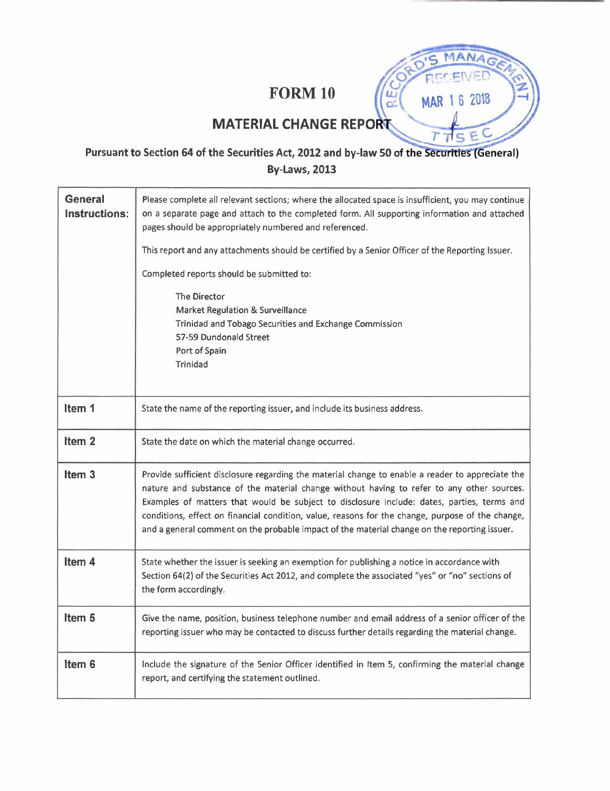# **FORM 10**

MAR 1 6 2018

F  $\subseteq$ 

 $\mu$ Ó

# **MATERIAL CHANGE REPORT**

## Pursuant to Section 64 of the Securities Act, 2012 and by-law 50 of the Securities (General) **By-Laws, 2013**

| <b>General</b><br>Instructions: | Please complete all relevant sections; where the allocated space is insufficient, you may continue<br>on a separate page and attach to the completed form. All supporting information and attached<br>pages should be appropriately numbered and referenced.                                                                                                                                                                                                                                    |  |  |  |  |
|---------------------------------|-------------------------------------------------------------------------------------------------------------------------------------------------------------------------------------------------------------------------------------------------------------------------------------------------------------------------------------------------------------------------------------------------------------------------------------------------------------------------------------------------|--|--|--|--|
|                                 | This report and any attachments should be certified by a Senior Officer of the Reporting Issuer.                                                                                                                                                                                                                                                                                                                                                                                                |  |  |  |  |
|                                 | Completed reports should be submitted to:                                                                                                                                                                                                                                                                                                                                                                                                                                                       |  |  |  |  |
|                                 | The Director<br>Market Regulation & Surveillance<br>Trinidad and Tobago Securities and Exchange Commission<br>57-59 Dundonald Street<br>Port of Spain<br>Trinidad                                                                                                                                                                                                                                                                                                                               |  |  |  |  |
| Item 1                          | State the name of the reporting issuer, and include its business address.                                                                                                                                                                                                                                                                                                                                                                                                                       |  |  |  |  |
| Item <sub>2</sub>               | State the date on which the material change occurred.                                                                                                                                                                                                                                                                                                                                                                                                                                           |  |  |  |  |
| Item <sub>3</sub>               | Provide sufficient disclosure regarding the material change to enable a reader to appreciate the<br>nature and substance of the material change without having to refer to any other sources.<br>Examples of matters that would be subject to disclosure include: dates, parties, terms and<br>conditions, effect on financial condition, value, reasons for the change, purpose of the change,<br>and a general comment on the probable impact of the material change on the reporting issuer. |  |  |  |  |
| Item <sub>4</sub>               | State whether the issuer is seeking an exemption for publishing a notice in accordance with<br>Section 64(2) of the Securities Act 2012, and complete the associated "yes" or "no" sections of<br>the form accordingly.                                                                                                                                                                                                                                                                         |  |  |  |  |
| Item <sub>5</sub>               | Give the name, position, business telephone number and email address of a senior officer of the<br>reporting issuer who may be contacted to discuss further details regarding the material change.                                                                                                                                                                                                                                                                                              |  |  |  |  |
| Item <sub>6</sub>               | Include the signature of the Senior Officer identified in Item 5, confirming the material change<br>report, and certifying the statement outlined.                                                                                                                                                                                                                                                                                                                                              |  |  |  |  |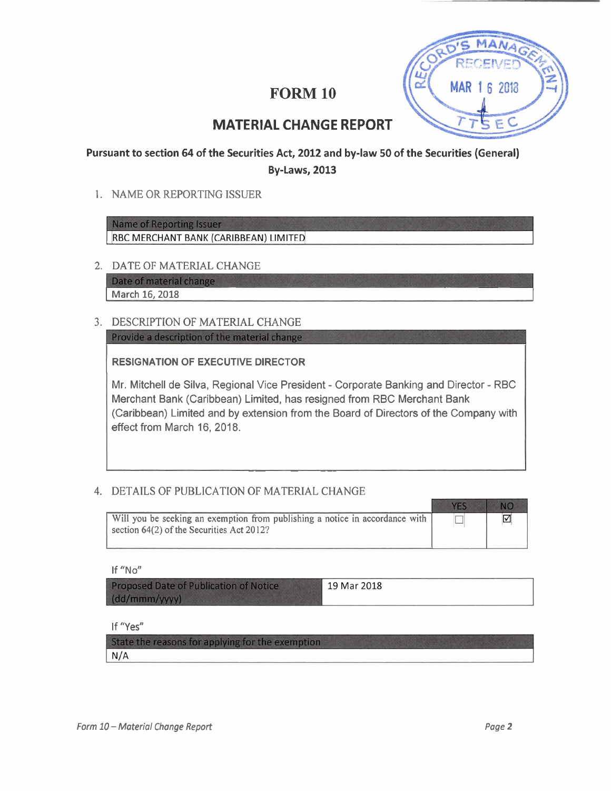## **FORM 10**



## **MATERIAL CHANGE REPORT**

### **Pursuant to section 64 of the Securities Act, 2012 and by-law 50 of the Securities (General) By-Laws, 2013**

1. NAME OR REPORTING ISSUER

**Name of Reporting Issuer** RBC MERCHANT BANK (CARIBBEAN) LIMITED

2. DATE OF MATERIAL CHANGE

Date of material change **March 16, 2018** 

**3.** DESCRIPTION OF MATERIAL CHANGE

Provide a description of the material change

**RESIGNATION OF EXECUTIVE DIRECTOR** 

Mr. Mitchell de Silva, Regional Vice President - Corporate Banking and Director - RBC Merchant Bank (Caribbean) Limited, has resigned from RBC Merchant Bank (Caribbean) Limited and by extension from the Board of Directors of the Company with effect from March 16, 2018.

-- - - --

#### 4. DETAILS OF PUBLICATION OF MATERIAL CHANGE

| Will you be seeking an exemption from publishing a notice in accordance with  <br>section $64(2)$ of the Securities Act 2012? |  |
|-------------------------------------------------------------------------------------------------------------------------------|--|

**If "No"** 

| <b>Proposed Date of Publication of Notice</b> | 19 Mar 2018 |
|-----------------------------------------------|-------------|
| (dd/mm/m)                                     |             |

**If "Yes"** 

| State the reasons for applying for the exemption |  |
|--------------------------------------------------|--|
| N/A                                              |  |